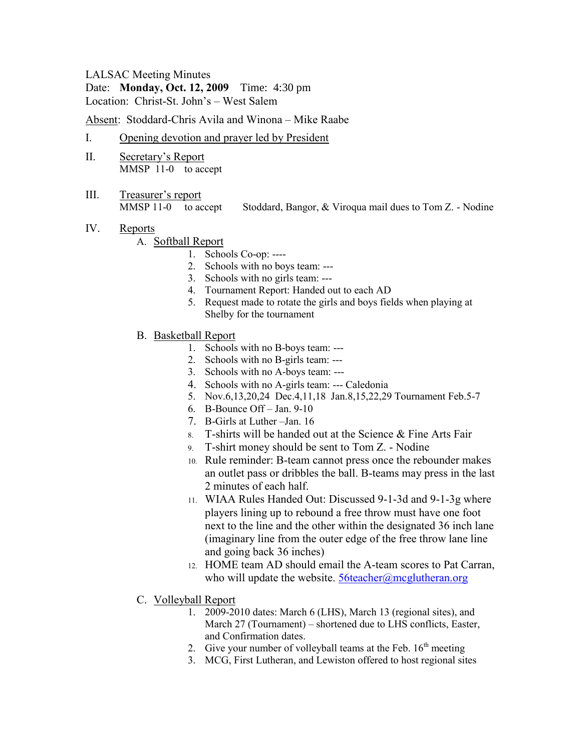#### LALSAC Meeting Minutes

Date: **Monday, Oct. 12, 2009** Time: 4:30 pm Location: Christ-St. John's – West Salem

Absent: Stoddard-Chris Avila and Winona – Mike Raabe

- I. Opening devotion and prayer led by President
- II. Secretary's Report MMSP 11-0 to accept
- III. Treasurer's report

MMSP 11-0 to accept Stoddard, Bangor, & Viroqua mail dues to Tom Z. - Nodine

IV. Reports

#### A. Softball Report

- 1. Schools Co-op: ----
- 2. Schools with no boys team: ---
- 3. Schools with no girls team: ---
- 4. Tournament Report: Handed out to each AD
- 5. Request made to rotate the girls and boys fields when playing at Shelby for the tournament
- B. Basketball Report
	- 1. Schools with no B-boys team: ---
	- 2. Schools with no B-girls team: ---
	- 3. Schools with no A-boys team: ---
	- 4. Schools with no A-girls team: --- Caledonia
	- 5. Nov.6,13,20,24 Dec.4,11,18 Jan.8,15,22,29 Tournament Feb.5-7
	- 6. B-Bounce Off Jan. 9-10
	- 7. B-Girls at Luther –Jan. 16
	- 8. T-shirts will be handed out at the Science & Fine Arts Fair
	- 9. T-shirt money should be sent to Tom Z. Nodine
	- 10. Rule reminder: B-team cannot press once the rebounder makes an outlet pass or dribbles the ball. B-teams may press in the last 2 minutes of each half.
	- 11. WIAA Rules Handed Out: Discussed 9-1-3d and 9-1-3g where players lining up to rebound a free throw must have one foot next to the line and the other within the designated 36 inch lane (imaginary line from the outer edge of the free throw lane line and going back 36 inches)
	- 12. HOME team AD should email the A-team scores to Pat Carran, who will update the website.  $56\text{teacher}$ ( $@$ mcglutheran.org
- C. Volleyball Report
	- 1. 2009-2010 dates: March 6 (LHS), March 13 (regional sites), and March 27 (Tournament) – shortened due to LHS conflicts, Easter, and Confirmation dates.
	- 2. Give your number of volleyball teams at the Feb.  $16<sup>th</sup>$  meeting
	- 3. MCG, First Lutheran, and Lewiston offered to host regional sites